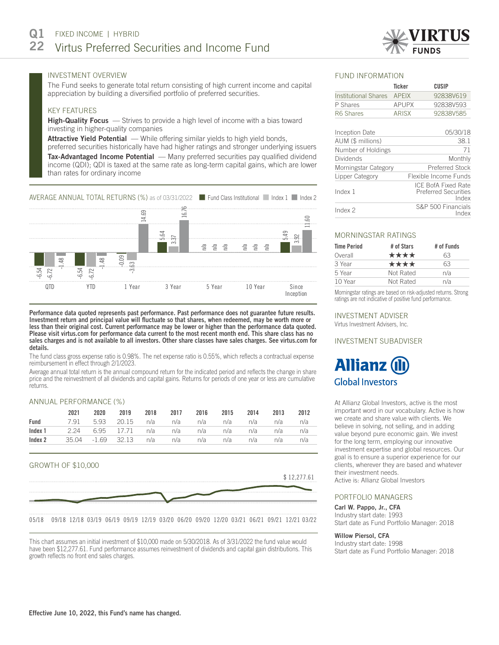# INVESTMENT OVERVIEW

The Fund seeks to generate total return consisting of high current income and capital appreciation by building a diversified portfolio of preferred securities.

# KEY FEATURES

High-Quality Focus – Strives to provide a high level of income with a bias toward investing in higher-quality companies

Attractive Yield Potential — While offering similar yields to high yield bonds,

preferred securities historically have had higher ratings and stronger underlying issuers **Tax-Advantaged Income Potential** — Many preferred securities pay qualified dividend income (QDI); QDI is taxed at the same rate as long-term capital gains, which are lower than rates for ordinary income



Performance data quoted represents past performance. Past performance does not guarantee future results. Investment return and principal value will fluctuate so that shares, when redeemed, may be worth more or less than their original cost. Current performance may be lower or higher than the performance data quoted. Please visit virtus.com for performance data current to the most recent month end. This share class has no sales charges and is not available to all investors. Other share classes have sales charges. See virtus.com for details.

The fund class gross expense ratio is 0.98%. The net expense ratio is 0.55%, which reflects a contractual expense reimbursement in effect through 2/1/2023.

Average annual total return is the annual compound return for the indicated period and reflects the change in share price and the reinvestment of all dividends and capital gains. Returns for periods of one year or less are cumulative returns.

#### ANNUAL PERFORMANCE (%)

|                                                              | 2021 | 2020 |                                             | 2019 2018 2017 2016 2015 2014 |  | 2013 | 2012 |
|--------------------------------------------------------------|------|------|---------------------------------------------|-------------------------------|--|------|------|
| Fund                                                         |      |      | 7.91 5.93 20.15 n/a n/a n/a n/a n/a n/a n/a |                               |  |      |      |
| <b>Index 1</b> 2.24 6.95 17.71 n/a n/a n/a n/a n/a n/a n/a   |      |      |                                             |                               |  |      |      |
| <b>Index 2</b> 35.04 -1.69 32.13 n/a n/a n/a n/a n/a n/a n/a |      |      |                                             |                               |  |      |      |

# GROWTH OF \$10,000



05/18 09/18 12/18 03/19 06/19 09/19 12/19 03/20 06/20 09/20 12/20 03/21 06/21 09/21 12/21 03/22

This chart assumes an initial investment of \$10,000 made on 5/30/2018. As of 3/31/2022 the fund value would have been \$12,277.61. Fund performance assumes reinvestment of dividends and capital gain distributions. This growth reflects no front end sales charges.

#### FUND INFORMATION

|                             | <b>Ticker</b> | CUSIP                                                              |
|-----------------------------|---------------|--------------------------------------------------------------------|
| <b>Institutional Shares</b> | <b>APEIX</b>  | 92838V619                                                          |
| P Shares                    | <b>APUPX</b>  | 92838V593                                                          |
| R6 Shares                   | ARISX         | 92838V585                                                          |
| <b>Inception Date</b>       |               | 05/30/18                                                           |
| AUM (\$ millions)           |               | 38.1                                                               |
| Number of Holdings          |               | 71                                                                 |
| Dividends                   |               | Monthly                                                            |
| Morningstar Category        |               | Preferred Stock                                                    |
| Lipper Category             |               | Flexible Income Funds                                              |
| Index 1                     |               | <b>ICE BofA Fixed Rate</b><br><b>Preferred Securities</b><br>Index |
| Index <sub>2</sub>          |               | S&P 500 Financials<br>Index                                        |

#### MORNINGSTAR RATINGS

| <b>Time Period</b> | # of Stars | # of Funds |
|--------------------|------------|------------|
| Overall            | ****       | 63         |
| 3 Year             | ****       | 63         |
| 5 Year             | Not Rated  | n/a        |
| 10 Year            | Not Rated  | n/a        |

Morningstar ratings are based on risk-adjusted returns. Strong ratings are not indicative of positive fund performance.

## INVESTMENT ADVISER

Virtus Investment Advisers, Inc.

## INVESTMENT SUBADVISER

# **Allianz Global Investors**

At Allianz Global Investors, active is the most important word in our vocabulary. Active is how we create and share value with clients. We believe in solving, not selling, and in adding value beyond pure economic gain. We invest for the long term, employing our innovative investment expertise and global resources. Our goal is to ensure a superior experience for our clients, wherever they are based and whatever their investment needs. Active is: Allianz Global Investors

#### PORTFOLIO MANAGERS

Carl W. Pappo, Jr., CFA

Industry start date: 1993 Start date as Fund Portfolio Manager: 2018

# Willow Piersol, CFA

Industry start date: 1998 Start date as Fund Portfolio Manager: 2018